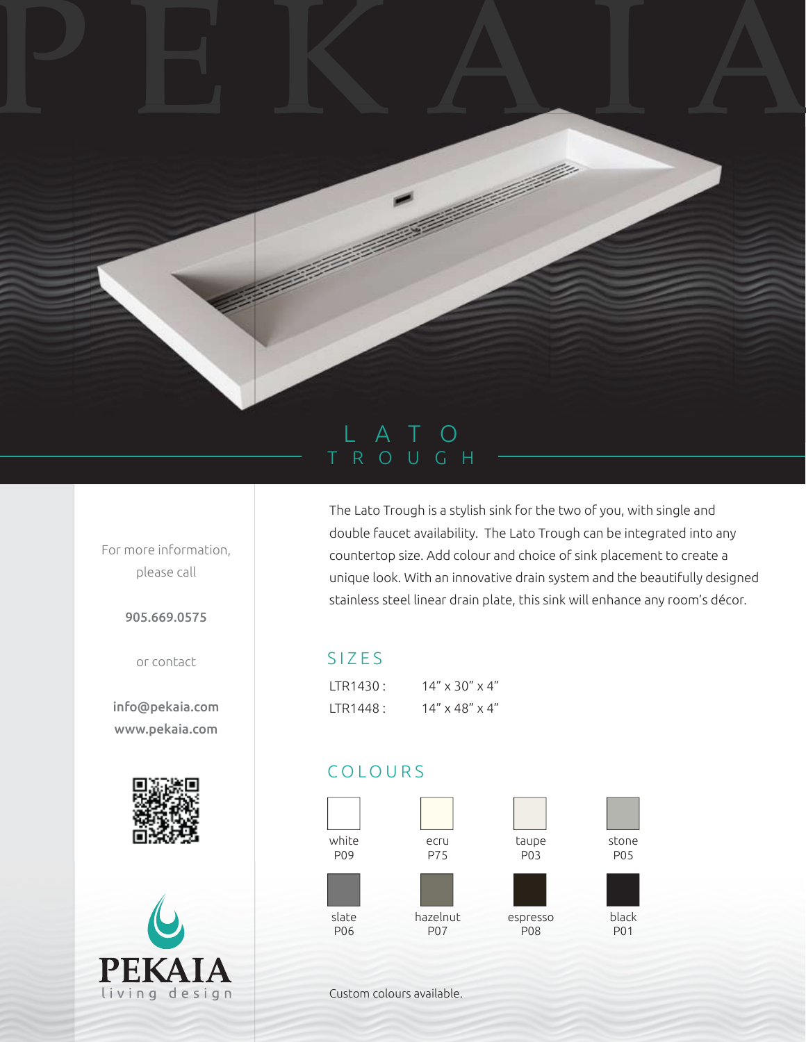## LATO TROUGH

PEKAIA

For more information, please call

905.669.0575

or contact

info@pekaia.com www.pekaia.com





The Lato Trough is a stylish sink for the two of you, with single and double faucet availability. The Lato Trough can be integrated into any countertop size. Add colour and choice of sink placement to create a unique look. With an innovative drain system and the beautifully designed stainless steel linear drain plate, this sink will enhance any room's décor.

## SIZES

| ITR1430: | $14'' \times 30'' \times 4''$ |
|----------|-------------------------------|
| LTR1448: | $14'' \times 48'' \times 4''$ |

## COLOURS



Custom colours available.